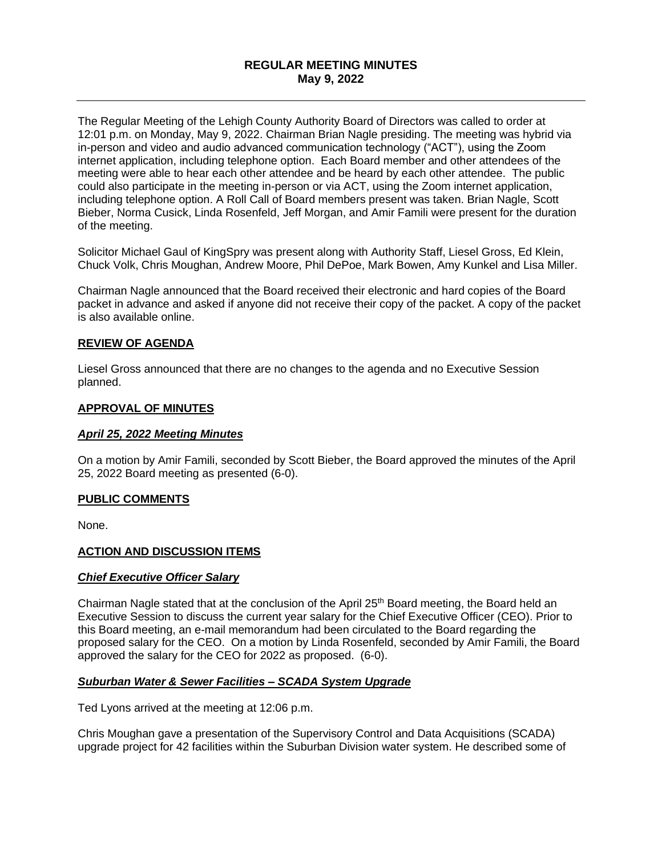## **REGULAR MEETING MINUTES May 9, 2022**

The Regular Meeting of the Lehigh County Authority Board of Directors was called to order at 12:01 p.m. on Monday, May 9, 2022. Chairman Brian Nagle presiding. The meeting was hybrid via in-person and video and audio advanced communication technology ("ACT"), using the Zoom internet application, including telephone option. Each Board member and other attendees of the meeting were able to hear each other attendee and be heard by each other attendee. The public could also participate in the meeting in-person or via ACT, using the Zoom internet application, including telephone option. A Roll Call of Board members present was taken. Brian Nagle, Scott Bieber, Norma Cusick, Linda Rosenfeld, Jeff Morgan, and Amir Famili were present for the duration of the meeting.

Solicitor Michael Gaul of KingSpry was present along with Authority Staff, Liesel Gross, Ed Klein, Chuck Volk, Chris Moughan, Andrew Moore, Phil DePoe, Mark Bowen, Amy Kunkel and Lisa Miller.

Chairman Nagle announced that the Board received their electronic and hard copies of the Board packet in advance and asked if anyone did not receive their copy of the packet. A copy of the packet is also available online.

### **REVIEW OF AGENDA**

Liesel Gross announced that there are no changes to the agenda and no Executive Session planned.

### **APPROVAL OF MINUTES**

#### *April 25, 2022 Meeting Minutes*

On a motion by Amir Famili, seconded by Scott Bieber, the Board approved the minutes of the April 25, 2022 Board meeting as presented (6-0).

#### **PUBLIC COMMENTS**

None.

#### **ACTION AND DISCUSSION ITEMS**

#### *Chief Executive Officer Salary*

Chairman Nagle stated that at the conclusion of the April 25<sup>th</sup> Board meeting, the Board held an Executive Session to discuss the current year salary for the Chief Executive Officer (CEO). Prior to this Board meeting, an e-mail memorandum had been circulated to the Board regarding the proposed salary for the CEO. On a motion by Linda Rosenfeld, seconded by Amir Famili, the Board approved the salary for the CEO for 2022 as proposed. (6-0).

## *Suburban Water & Sewer Facilities – SCADA System Upgrade*

Ted Lyons arrived at the meeting at 12:06 p.m.

Chris Moughan gave a presentation of the Supervisory Control and Data Acquisitions (SCADA) upgrade project for 42 facilities within the Suburban Division water system. He described some of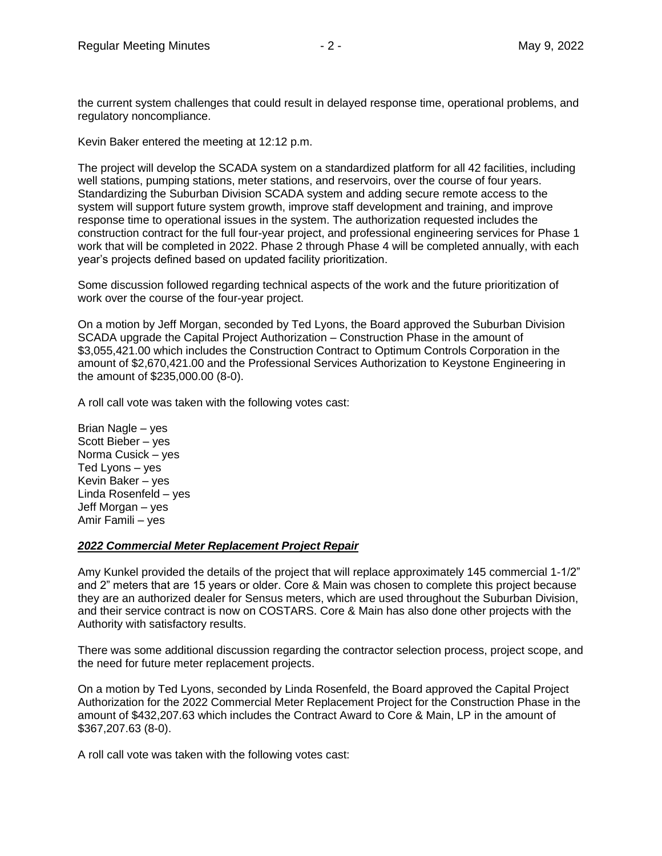the current system challenges that could result in delayed response time, operational problems, and regulatory noncompliance.

Kevin Baker entered the meeting at 12:12 p.m.

The project will develop the SCADA system on a standardized platform for all 42 facilities, including well stations, pumping stations, meter stations, and reservoirs, over the course of four years. Standardizing the Suburban Division SCADA system and adding secure remote access to the system will support future system growth, improve staff development and training, and improve response time to operational issues in the system. The authorization requested includes the construction contract for the full four-year project, and professional engineering services for Phase 1 work that will be completed in 2022. Phase 2 through Phase 4 will be completed annually, with each year's projects defined based on updated facility prioritization.

Some discussion followed regarding technical aspects of the work and the future prioritization of work over the course of the four-year project.

On a motion by Jeff Morgan, seconded by Ted Lyons, the Board approved the Suburban Division SCADA upgrade the Capital Project Authorization – Construction Phase in the amount of \$3,055,421.00 which includes the Construction Contract to Optimum Controls Corporation in the amount of \$2,670,421.00 and the Professional Services Authorization to Keystone Engineering in the amount of \$235,000.00 (8-0).

A roll call vote was taken with the following votes cast:

Brian Nagle – yes Scott Bieber – yes Norma Cusick – yes Ted Lyons – yes Kevin Baker – yes Linda Rosenfeld – yes Jeff Morgan – yes Amir Famili – yes

#### *2022 Commercial Meter Replacement Project Repair*

Amy Kunkel provided the details of the project that will replace approximately 145 commercial 1-1/2" and 2" meters that are 15 years or older. Core & Main was chosen to complete this project because they are an authorized dealer for Sensus meters, which are used throughout the Suburban Division, and their service contract is now on COSTARS. Core & Main has also done other projects with the Authority with satisfactory results.

There was some additional discussion regarding the contractor selection process, project scope, and the need for future meter replacement projects.

On a motion by Ted Lyons, seconded by Linda Rosenfeld, the Board approved the Capital Project Authorization for the 2022 Commercial Meter Replacement Project for the Construction Phase in the amount of \$432,207.63 which includes the Contract Award to Core & Main, LP in the amount of \$367,207.63 (8-0).

A roll call vote was taken with the following votes cast: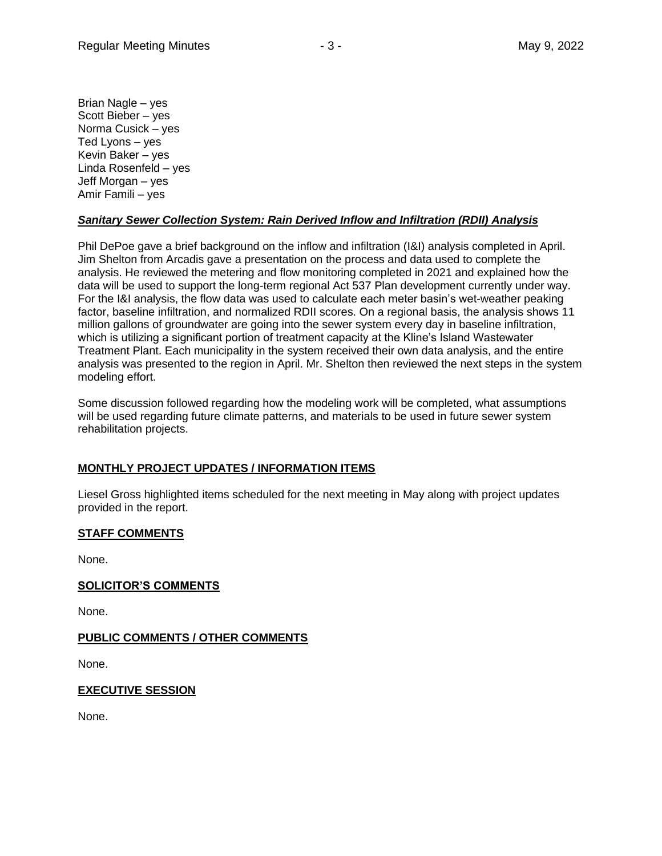Brian Nagle – yes Scott Bieber – yes Norma Cusick – yes Ted Lyons – yes Kevin Baker – yes Linda Rosenfeld – yes Jeff Morgan – yes Amir Famili – yes

## *Sanitary Sewer Collection System: Rain Derived Inflow and Infiltration (RDII) Analysis*

Phil DePoe gave a brief background on the inflow and infiltration (I&I) analysis completed in April. Jim Shelton from Arcadis gave a presentation on the process and data used to complete the analysis. He reviewed the metering and flow monitoring completed in 2021 and explained how the data will be used to support the long-term regional Act 537 Plan development currently under way. For the I&I analysis, the flow data was used to calculate each meter basin's wet-weather peaking factor, baseline infiltration, and normalized RDII scores. On a regional basis, the analysis shows 11 million gallons of groundwater are going into the sewer system every day in baseline infiltration, which is utilizing a significant portion of treatment capacity at the Kline's Island Wastewater Treatment Plant. Each municipality in the system received their own data analysis, and the entire analysis was presented to the region in April. Mr. Shelton then reviewed the next steps in the system modeling effort.

Some discussion followed regarding how the modeling work will be completed, what assumptions will be used regarding future climate patterns, and materials to be used in future sewer system rehabilitation projects.

# **MONTHLY PROJECT UPDATES / INFORMATION ITEMS**

Liesel Gross highlighted items scheduled for the next meeting in May along with project updates provided in the report.

## **STAFF COMMENTS**

None.

## **SOLICITOR'S COMMENTS**

None.

## **PUBLIC COMMENTS / OTHER COMMENTS**

None.

## **EXECUTIVE SESSION**

None.